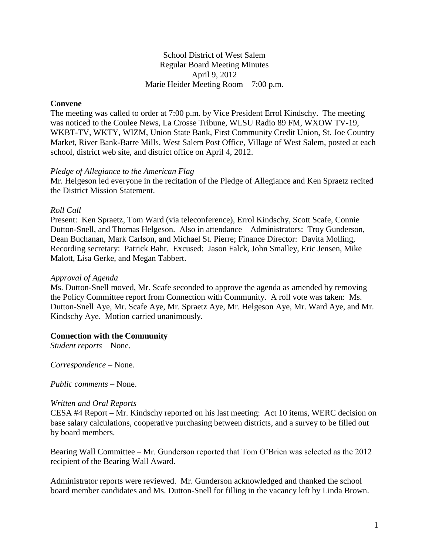School District of West Salem Regular Board Meeting Minutes April 9, 2012 Marie Heider Meeting Room – 7:00 p.m.

### **Convene**

The meeting was called to order at 7:00 p.m. by Vice President Errol Kindschy. The meeting was noticed to the Coulee News, La Crosse Tribune, WLSU Radio 89 FM, WXOW TV-19, WKBT-TV, WKTY, WIZM, Union State Bank, First Community Credit Union, St. Joe Country Market, River Bank-Barre Mills, West Salem Post Office, Village of West Salem, posted at each school, district web site, and district office on April 4, 2012.

#### *Pledge of Allegiance to the American Flag*

Mr. Helgeson led everyone in the recitation of the Pledge of Allegiance and Ken Spraetz recited the District Mission Statement.

### *Roll Call*

Present: Ken Spraetz, Tom Ward (via teleconference), Errol Kindschy, Scott Scafe, Connie Dutton-Snell, and Thomas Helgeson. Also in attendance – Administrators: Troy Gunderson, Dean Buchanan, Mark Carlson, and Michael St. Pierre; Finance Director: Davita Molling, Recording secretary: Patrick Bahr. Excused: Jason Falck, John Smalley, Eric Jensen, Mike Malott, Lisa Gerke, and Megan Tabbert.

### *Approval of Agenda*

Ms. Dutton-Snell moved, Mr. Scafe seconded to approve the agenda as amended by removing the Policy Committee report from Connection with Community. A roll vote was taken: Ms. Dutton-Snell Aye, Mr. Scafe Aye, Mr. Spraetz Aye, Mr. Helgeson Aye, Mr. Ward Aye, and Mr. Kindschy Aye. Motion carried unanimously.

### **Connection with the Community**

*Student reports –* None.

*Correspondence –* None*.*

*Public comments –* None.

#### *Written and Oral Reports*

CESA #4 Report – Mr. Kindschy reported on his last meeting: Act 10 items, WERC decision on base salary calculations, cooperative purchasing between districts, and a survey to be filled out by board members.

Bearing Wall Committee – Mr. Gunderson reported that Tom O'Brien was selected as the 2012 recipient of the Bearing Wall Award.

Administrator reports were reviewed. Mr. Gunderson acknowledged and thanked the school board member candidates and Ms. Dutton-Snell for filling in the vacancy left by Linda Brown.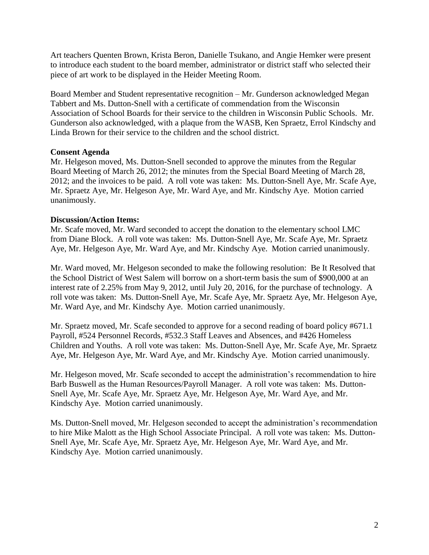Art teachers Quenten Brown, Krista Beron, Danielle Tsukano, and Angie Hemker were present to introduce each student to the board member, administrator or district staff who selected their piece of art work to be displayed in the Heider Meeting Room.

Board Member and Student representative recognition – Mr. Gunderson acknowledged Megan Tabbert and Ms. Dutton-Snell with a certificate of commendation from the Wisconsin Association of School Boards for their service to the children in Wisconsin Public Schools. Mr. Gunderson also acknowledged, with a plaque from the WASB, Ken Spraetz, Errol Kindschy and Linda Brown for their service to the children and the school district.

### **Consent Agenda**

Mr. Helgeson moved, Ms. Dutton-Snell seconded to approve the minutes from the Regular Board Meeting of March 26, 2012; the minutes from the Special Board Meeting of March 28, 2012; and the invoices to be paid. A roll vote was taken: Ms. Dutton-Snell Aye, Mr. Scafe Aye, Mr. Spraetz Aye, Mr. Helgeson Aye, Mr. Ward Aye, and Mr. Kindschy Aye. Motion carried unanimously.

## **Discussion/Action Items:**

Mr. Scafe moved, Mr. Ward seconded to accept the donation to the elementary school LMC from Diane Block. A roll vote was taken: Ms. Dutton-Snell Aye, Mr. Scafe Aye, Mr. Spraetz Aye, Mr. Helgeson Aye, Mr. Ward Aye, and Mr. Kindschy Aye. Motion carried unanimously.

Mr. Ward moved, Mr. Helgeson seconded to make the following resolution: Be It Resolved that the School District of West Salem will borrow on a short-term basis the sum of \$900,000 at an interest rate of 2.25% from May 9, 2012, until July 20, 2016, for the purchase of technology. A roll vote was taken: Ms. Dutton-Snell Aye, Mr. Scafe Aye, Mr. Spraetz Aye, Mr. Helgeson Aye, Mr. Ward Aye, and Mr. Kindschy Aye. Motion carried unanimously.

Mr. Spraetz moved, Mr. Scafe seconded to approve for a second reading of board policy #671.1 Payroll, #524 Personnel Records, #532.3 Staff Leaves and Absences, and #426 Homeless Children and Youths. A roll vote was taken: Ms. Dutton-Snell Aye, Mr. Scafe Aye, Mr. Spraetz Aye, Mr. Helgeson Aye, Mr. Ward Aye, and Mr. Kindschy Aye. Motion carried unanimously.

Mr. Helgeson moved, Mr. Scafe seconded to accept the administration's recommendation to hire Barb Buswell as the Human Resources/Payroll Manager. A roll vote was taken: Ms. Dutton-Snell Aye, Mr. Scafe Aye, Mr. Spraetz Aye, Mr. Helgeson Aye, Mr. Ward Aye, and Mr. Kindschy Aye. Motion carried unanimously.

Ms. Dutton-Snell moved, Mr. Helgeson seconded to accept the administration's recommendation to hire Mike Malott as the High School Associate Principal. A roll vote was taken: Ms. Dutton-Snell Aye, Mr. Scafe Aye, Mr. Spraetz Aye, Mr. Helgeson Aye, Mr. Ward Aye, and Mr. Kindschy Aye. Motion carried unanimously.